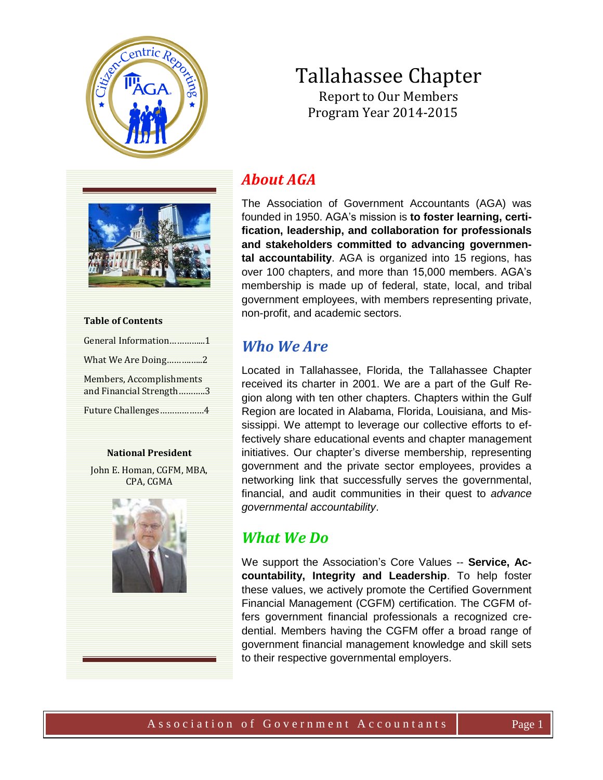

# Tallahassee Chapter Report to Our Members Program Year 2014-2015



| <b>Table of Contents</b>                            |  |  |
|-----------------------------------------------------|--|--|
| General Information1                                |  |  |
| What We Are Doing2                                  |  |  |
| Members, Accomplishments<br>and Financial Strength3 |  |  |
| Future Challenges4                                  |  |  |

#### **National President**

John E. Homan, CGFM, MBA, CPA, CGMA



# *About AGA*

The Association of Government Accountants (AGA) was founded in 1950. AGA's mission is **to foster learning, certification, leadership, and collaboration for professionals and stakeholders committed to advancing governmental accountability**. AGA is organized into 15 regions, has over 100 chapters, and more than 15,000 members. AGA's membership is made up of federal, state, local, and tribal government employees, with members representing private, non-profit, and academic sectors.

# *Who We Are*

Located in Tallahassee, Florida, the Tallahassee Chapter received its charter in 2001. We are a part of the Gulf Region along with ten other chapters. Chapters within the Gulf Region are located in Alabama, Florida, Louisiana, and Mississippi. We attempt to leverage our collective efforts to effectively share educational events and chapter management initiatives. Our chapter's diverse membership, representing government and the private sector employees, provides a networking link that successfully serves the governmental, financial, and audit communities in their quest to *advance governmental accountability*.

## *What We Do*

We support the Association's Core Values -- **Service, Accountability, Integrity and Leadership**. To help foster these values, we actively promote the Certified Government Financial Management (CGFM) certification. The CGFM offers government financial professionals a recognized credential. Members having the CGFM offer a broad range of government financial management knowledge and skill sets to their respective governmental employers.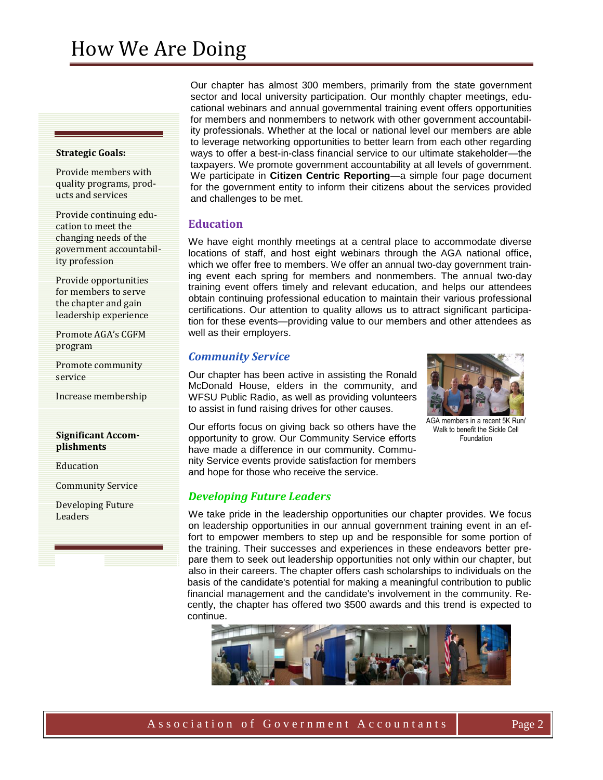#### **Strategic Goals:**

Provide members with quality programs, products and services

Provide continuing education to meet the changing needs of the government accountability profession

Provide opportunities for members to serve the chapter and gain leadership experience

Promote AGA's CGFM program

Promote community service

Increase membership

#### **Significant Accomplishments**

Education

Community Service

Developing Future Leaders

Our chapter has almost 300 members, primarily from the state government sector and local university participation. Our monthly chapter meetings, educational webinars and annual governmental training event offers opportunities for members and nonmembers to network with other government accountability professionals. Whether at the local or national level our members are able to leverage networking opportunities to better learn from each other regarding ways to offer a best-in-class financial service to our ultimate stakeholder—the taxpayers. We promote government accountability at all levels of government. We participate in **Citizen Centric Reporting**—a simple four page document for the government entity to inform their citizens about the services provided and challenges to be met.

### **Education**

We have eight monthly meetings at a central place to accommodate diverse locations of staff, and host eight webinars through the AGA national office, which we offer free to members. We offer an annual two-day government training event each spring for members and nonmembers. The annual two-day training event offers timely and relevant education, and helps our attendees obtain continuing professional education to maintain their various professional certifications. Our attention to quality allows us to attract significant participation for these events—providing value to our members and other attendees as well as their employers.

### *Community Service*

Our chapter has been active in assisting the Ronald McDonald House, elders in the community, and WFSU Public Radio, as well as providing volunteers to assist in fund raising drives for other causes.



AGA members in a recent 5K Run/ Walk to benefit the Sickle Cell Foundation

Our efforts focus on giving back so others have the opportunity to grow. Our Community Service efforts have made a difference in our community. Community Service events provide satisfaction for members and hope for those who receive the service.

### *Developing Future Leaders*

We take pride in the leadership opportunities our chapter provides. We focus on leadership opportunities in our annual government training event in an effort to empower members to step up and be responsible for some portion of the training. Their successes and experiences in these endeavors better prepare them to seek out leadership opportunities not only within our chapter, but also in their careers. The chapter offers cash scholarships to individuals on the basis of the candidate's potential for making a meaningful contribution to public financial management and the candidate's involvement in the community. Recently, the chapter has offered two \$500 awards and this trend is expected to continue.

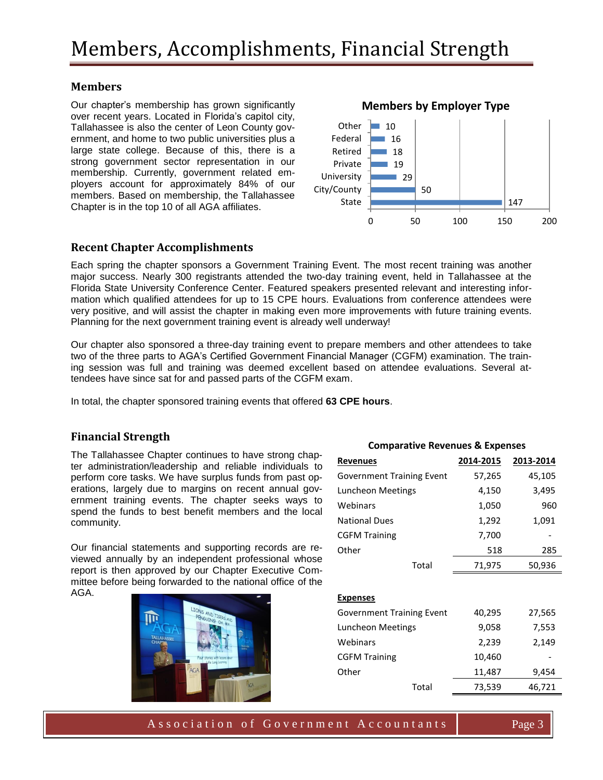## **Members**

Our chapter's membership has grown significantly over recent years. Located in Florida's capitol city, Tallahassee is also the center of Leon County government, and home to two public universities plus a large state college. Because of this, there is a strong government sector representation in our membership. Currently, government related employers account for approximately 84% of our members. Based on membership, the Tallahassee Chapter is in the top 10 of all AGA affiliates.

## **Recent Chapter Accomplishments**

Each spring the chapter sponsors a Government Training Event. The most recent training was another major success. Nearly 300 registrants attended the two-day training event, held in Tallahassee at the Florida State University Conference Center. Featured speakers presented relevant and interesting information which qualified attendees for up to 15 CPE hours. Evaluations from conference attendees were very positive, and will assist the chapter in making even more improvements with future training events. Planning for the next government training event is already well underway!

Our chapter also sponsored a three-day training event to prepare members and other attendees to take two of the three parts to AGA's Certified Government Financial Manager (CGFM) examination. The training session was full and training was deemed excellent based on attendee evaluations. Several attendees have since sat for and passed parts of the CGFM exam.

In total, the chapter sponsored training events that offered **63 CPE hours**.

### **Financial Strength**

The Tallahassee Chapter continues to have strong chapter administration/leadership and reliable individuals to perform core tasks. We have surplus funds from past operations, largely due to margins on recent annual government training events. The chapter seeks ways to spend the funds to best benefit members and the local community.

Our financial statements and supporting records are reviewed annually by an independent professional whose report is then approved by our Chapter Executive Committee before being forwarded to the national office of the AGA.



| <b>Comparative Revenues &amp; Expenses</b> |           |           |
|--------------------------------------------|-----------|-----------|
| <b>Revenues</b>                            | 2014-2015 | 2013-2014 |
| <b>Government Training Event</b>           | 57,265    | 45,105    |
| Luncheon Meetings                          | 4,150     | 3,495     |
| Webinars                                   | 1,050     | 960       |
| <b>National Dues</b>                       | 1,292     | 1,091     |
| <b>CGFM Training</b>                       | 7,700     |           |
| Other                                      | 518       | 285       |
| Total                                      | 71,975    | 50,936    |
|                                            |           |           |
| <b>Expenses</b>                            |           |           |
| <b>Government Training Event</b>           | 40,295    | 27,565    |
| Luncheon Meetings                          | 9,058     | 7,553     |
| Webinars                                   | 2,239     | 2,149     |
| <b>CGFM Training</b>                       | 10,460    |           |
| Other                                      | 11,487    | 9,454     |
| Total                                      | 73,539    | 46,721    |



A s s o ciation of G overnment A c c o untants Page 3